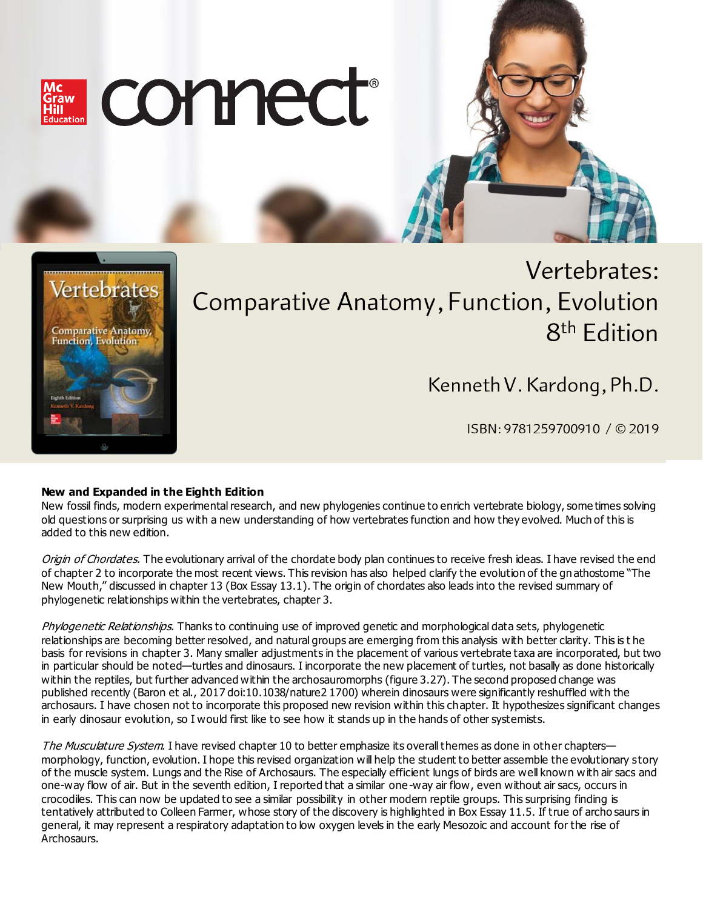



# Vertebrates: Comparative Anatomy, Function, Evolution 8<sup>th</sup> Edition

Kenneth V. Kardong, Ph.D.

ISBN: 9781259700910 / © 2019

# **New and Expanded in the Eighth Edition**

New fossil finds, modern experimental research, and new phylogenies continue to enrich vertebrate biology, some times solving old questions or surprising us with a new understanding of how vertebrates function and how they evolved. Much of this is added to this new edition.

Origin of Chordates. The evolutionary arrival of the chordate body plan continues to receive fresh ideas. I have revised the end of chapter 2 to incorporate the most recent views. This revision has also helped clarify the evolution of the gn athostome "The New Mouth," discussed in chapter 13 (Box Essay 13.1). The origin of chordates also leads into the revised summary of phylogenetic relationships within the vertebrates, chapter 3.

Phylogenetic Relationships. Thanks to continuing use of improved genetic and morphological data sets, phylogenetic relationships are becoming better resolved, and natural groups are emerging from this analysis with better clarity. This is t he basis for revisions in chapter 3. Many smaller adjustments in the placement of various vertebrate taxa are incorporated, but two in particular should be noted—turtles and dinosaurs. I incorporate the new placement of turtles, not basally as done historically within the reptiles, but further advanced within the archosauromorphs (figure 3.27). The second proposed change was published recently (Baron et al., 2017 doi:10.1038/nature2 1700) wherein dinosaurs were significantly reshuffled with the archosaurs. I have chosen not to incorporate this proposed new revision within this chapter. It hypothesizes significant changes in early dinosaur evolution, so I would first like to see how it stands up in the hands of other systemists.

The Musculature System. I have revised chapter 10 to better emphasize its overall themes as done in other chapters morphology, function, evolution. I hope this revised organization will help the student to better assemble the evolutionary story of the muscle system. Lungs and the Rise of Archosaurs. The especially efficient lungs of birds are well known with air sacs and one-way flow of air. But in the seventh edition, I reported that a similar one-way air flow, even without air sacs, occurs in crocodiles. This can now be updated to see a similar possibility in other modern reptile groups. This surprising finding is tentatively attributed to Colleen Farmer, whose story of the discovery is highlighted in Box Essay 11.5. If true of archo saurs in general, it may represent a respiratory adaptation to low oxygen levels in the early Mesozoic and account for the rise of Archosaurs.